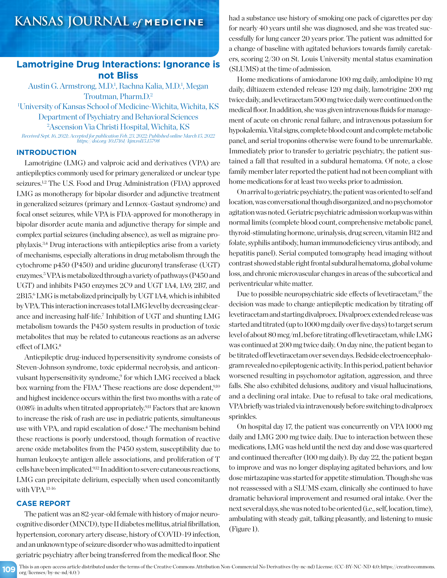## **Lamotrigine Drug Interactions: Ignorance is not Bliss**

Austin G. Armstrong, M.D.<sup>1</sup>, Rachna Kalia, M.D.<sup>1</sup>, Megan Troutman, Pharm.D.2 1 University of Kansas School of Medicine-Wichita, Wichita, KS

Department of Psychiatry and Behavioral Sciences

2 Ascension Via Christi Hospital, Wichita, KS

*Received Sept. 16, 2021; Accepted for publication Feb. 23, 2022; Published online March 15, 2022 https://doi.org/10.17161/kjm.vol15.15798*

#### **INTRODUCTION**

Lamotrigine (LMG) and valproic acid and derivatives (VPA) are antiepileptics commonly used for primary generalized or unclear type seizures.<sup>1,2</sup> The U.S. Food and Drug Administration (FDA) approved LMG as monotherapy for bipolar disorder and adjunctive treatment in generalized seizures (primary and Lennox-Gastaut syndrome) and focal onset seizures, while VPA is FDA-approved for monotherapy in bipolar disorder acute mania and adjunctive therapy for simple and complex partial seizures (including absence), as well as migraine prophylaxis.3,4 Drug interactions with antiepileptics arise from a variety of mechanisms, especially alterations in drug metabolism through the cytochrome p450 (P450) and uridine glucuronyl transferase (UGT) enzymes.5 VPA is metabolized through a variety of pathways (P450 and UGT) and inhibits P450 enzymes 2C9 and UGT 1A4, 1A9, 2B7, and 2B15.6 LMG is metabolized principally by UGT 1A4, which is inhibited by VPA. This interaction increases total LMG level by decreasing clearance and increasing half-life.<sup>7</sup> Inhibition of UGT and shunting LMG metabolism towards the P450 system results in production of toxic metabolites that may be related to cutaneous reactions as an adverse effect of LMG.8

Antiepileptic drug-induced hypersensitivity syndrome consists of Steven-Johnson syndrome, toxic epidermal necrolysis, and anticonvulsant hypersensitivity syndrome,<sup>9</sup> for which LMG received a black box warning from the FDA.<sup>4</sup> These reactions are dose dependent,<sup>9,10</sup> and highest incidence occurs within the first two months with a rate of 0.08% in adults when titrated appropriately.9,11 Factors that are known to increase the risk of rash are use in pediatric patients, simultaneous use with VPA, and rapid escalation of dose.<sup>4</sup> The mechanism behind these reactions is poorly understood, though formation of reactive arene oxide metabolites from the P450 system, susceptibility due to human leukocyte antigen allele associations, and proliferation of T cells have been implicated.<sup>9,12</sup> In addition to severe cutaneous reactions, LMG can precipitate delirium, especially when used concomitantly with VPA.13-16

#### **CASE REPORT**

The patient was an 82-year-old female with history of major neurocognitive disorder (MNCD), type II diabetes mellitus, atrial fibrillation, hypertension, coronary artery disease, history of COVID-19 infection, and an unknown type of seizure disorder who was admitted to inpatient geriatric psychiatry after being transferred from the medical floor. She had a substance use history of smoking one pack of cigarettes per day for nearly 40 years until she was diagnosed, and she was treated successfully for lung cancer 20 years prior. The patient was admitted for a change of baseline with agitated behaviors towards family caretakers, scoring 2/30 on St. Louis University mental status examination (SLUMS) at the time of admission.

Home medications of amiodarone 100 mg daily, amlodipine 10 mg daily, diltiazem extended release 120 mg daily, lamotrigine 200 mg twice daily, and levetiracetam 500 mg twice daily were continued on the medical floor. In addition, she was given intravenous fluids for management of acute on chronic renal failure, and intravenous potassium for hypokalemia. Vital signs, complete blood count and complete metabolic panel, and serial troponins otherwise were found to be unremarkable. Immediately prior to transfer to geriatric psychiatry, the patient sustained a fall that resulted in a subdural hematoma. Of note, a close family member later reported the patient had not been compliant with home medications for at least two weeks prior to admission.

On arrival to geriatric psychiatry, the patient was oriented to self and location, was conversational though disorganized, and no psychomotor agitation was noted. Geriatric psychiatric admission workup was within normal limits (complete blood count, comprehensive metabolic panel, thyroid-stimulating hormone, urinalysis, drug screen, vitamin B12 and folate, syphilis antibody, human immunodeficiency virus antibody, and hepatitis panel). Serial computed tomography head imaging without contrast showed stable right frontal subdural hematoma, global volume loss, and chronic microvascular changes in areas of the subcortical and periventricular white matter.

Due to possible neuropsychiatric side effects of levetiracetam,<sup>17</sup> the decision was made to change antiepileptic medication by titrating off levetiracetam and starting divalproex. Divalproex extended release was started and titrated (up to 1000 mg daily over five days) to target serum level of about 80 mcg/mL before titrating off levetiracetam, while LMG was continued at 200 mg twice daily. On day nine, the patient began to be titrated off levetiracetam over seven days. Bedside electroencephalogram revealed no epileptogenic activity. In this period, patient behavior worsened resulting in psychomotor agitation, aggression, and three falls. She also exhibited delusions, auditory and visual hallucinations, and a declining oral intake. Due to refusal to take oral medications, VPA briefly was trialed via intravenously before switching to divalproex sprinkles.

On hospital day 17, the patient was concurrently on VPA 1000 mg daily and LMG 200 mg twice daily. Due to interaction between these medications, LMG was held until the next day and dose was quartered and continued thereafter (100 mg daily). By day 22, the patient began to improve and was no longer displaying agitated behaviors, and low dose mirtazapine was started for appetite stimulation. Though she was not reassessed with a SLUMS exam, clinically she continued to have dramatic behavioral improvement and resumed oral intake. Over the next several days, she was noted to be oriented (i.e., self, location, time), ambulating with steady gait, talking pleasantly, and listening to music (Figure 1).

**109** This is an open-access article distributed under the terms of the Creative Commons Attribution Non-Commercial No Derivatives (by-nc-nd) License. (CC-BY-NC-ND 4.0: https://creativecommons. org/licenses/by-nc-nd/4.0/)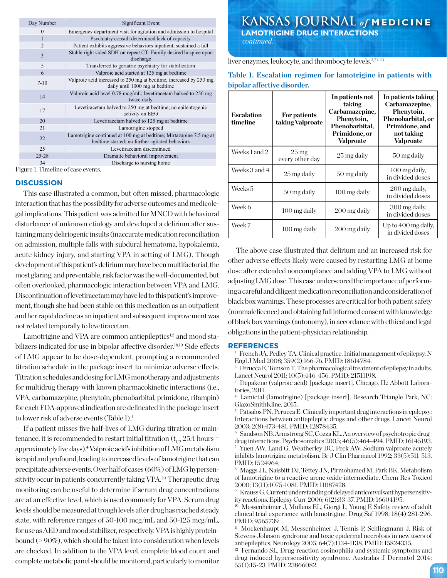|                | Day Number     | <b>Significant Event</b>                                                                                            |  |
|----------------|----------------|---------------------------------------------------------------------------------------------------------------------|--|
|                | $\theta$       | Emergency department visit for agitation and admission to hospital                                                  |  |
|                |                | Psychiatry consult determined lack of capacity                                                                      |  |
|                | $\overline{2}$ | Patient exhibits aggressive behaviors inpatient, sustained a fall                                                   |  |
|                | 3              | Stable right sided SDH on repeat CT. Family desired hospice upon<br>discharge                                       |  |
|                | 5              | Transferred to geriatric psychiatry for stabilization                                                               |  |
|                | 6              | Valproic acid started at 125 mg at bedtime                                                                          |  |
|                | $7-10$         | Valproic acid increased to 250 mg at bedtime, increased by 250 mg<br>daily until 1000 mg at bedtime                 |  |
|                | 14             | Valproic acid level 0.78 mcg/mL; levetiracetam halved to 250 mg<br>twice daily                                      |  |
|                | 17             | Levetiracetam halved to 250 mg at bedtime; no epileptogenic<br>activity on EEG                                      |  |
|                | 20             | Levetiracetam halved to 125 mg at bedtime                                                                           |  |
|                | 21             | Lamotrigine stopped                                                                                                 |  |
|                | 22             | Lamotrigine continued at 100 mg at bedtime; Mirtazapine 7.5 mg at<br>bedtime started; no further agitated behaviors |  |
|                | 25             | Levetiracetam discontinued                                                                                          |  |
|                | $25 - 28$      | Dramatic behavioral improvement                                                                                     |  |
| 3 <sub>A</sub> |                | Discharge to pursing home                                                                                           |  |

Figure 1. Timeline of case events.

#### **DISCUSSION**

This case illustrated a common, but often missed, pharmacologic interaction that has the possibility for adverse outcomes and medicolegal implications. This patient was admitted for MNCD with behavioral disturbance of unknown etiology and developed a delirium after sustaining many deliriogenic insults (inaccurate medication reconciliation on admission, multiple falls with subdural hematoma, hypokalemia, acute kidney injury, and starting VPA in setting of LMG). Though development of this patient's delirium may have been multifactorial, the most glaring, and preventable, risk factor was the well-documented, but often overlooked, pharmacologic interaction between VPA and LMG. Discontinuation of levetiracetam may have led to this patient's improvement, though she had been stable on this medication as an outpatient and her rapid decline as an inpatient and subsequent improvement was not related temporally to levetiracetam.

Lamotrigine and VPA are common antiepileptics<sup>1,2</sup> and mood stabilizers indicated for use in bipolar affective disorder.<sup>18,19</sup> Side effects of LMG appear to be dose-dependent, prompting a recommended titration schedule in the package insert to minimize adverse effects. Titration schedules and dosing for LMG monotherapy and adjustments for multidrug therapy with known pharmacokinetic interactions (i.e., VPA, carbamazepine, phenytoin, phenobarbital, primidone, rifampin) for each FDA-approved indication are delineated in the package insert to lower risk of adverse events (Table 1).4

If a patient misses five half-lives of LMG during titration or maintenance, it is recommended to restart initial titration  $(t_{1/2} 25.4$  hours = approximately five days).4 Valproic acid's inhibition of LMG metabolism is rapid and profound, leading to increased levels of lamotrigine that can precipitate adverse events. Over half of cases (60%) of LMG hypersensitivity occur in patients concurrently taking VPA.<sup>20</sup> Therapeutic drug monitoring can be useful to determine if serum drug concentrations are at an effective level, which is used commonly for VPA. Serum drug levels should be measured at trough levels after drug has reached steady state, with reference ranges of 50-100 mcg/mL and 50-125 mcg/mL, for use as AED and mood stabilizer, respectively. VPA is highly proteinbound (> 90%), which should be taken into consideration when levels are checked. In addition to the VPA level, complete blood count and complete metabolic panel should be monitored, particularly to monitor

# **KANSAS JOURNAL** *of* **MEDICINE LAMOTRIGINE DRUG INTERACTIONS**

 *continued.*

liver enzymes, leukocyte, and thrombocyte levels.3,21-23

| <b>Escalation</b><br>timeline | For patients<br>taking Valproate      | In patients not<br>taking<br>Carbamazepine,<br>Phenytoin,<br>Phenobarbital,<br>Primidone, or<br><b>Valproate</b> | In patients taking<br>Carbamazepine,<br>Phenytoin,<br>Phenobarbital, or<br>Primidone, and<br>not taking<br><b>Valproate</b> |
|-------------------------------|---------------------------------------|------------------------------------------------------------------------------------------------------------------|-----------------------------------------------------------------------------------------------------------------------------|
| Weeks 1 and 2                 | $25 \,\mathrm{mg}$<br>every other day | 25 mg daily                                                                                                      | 50 mg daily                                                                                                                 |
| Weeks 3 and 4                 | 25 mg daily                           | 50 mg daily                                                                                                      | 100 mg daily.<br>in divided doses                                                                                           |
| Weeks 5                       | 50 mg daily                           | 100 mg daily                                                                                                     | 200 mg daily.<br>in divided doses                                                                                           |
| Week 6                        | 100 mg daily                          | 200 mg daily                                                                                                     | 300 mg daily.<br>in divided doses                                                                                           |
| Week 7                        | 100 mg daily                          | 200 mg daily                                                                                                     | Up to 400 mg daily,<br>in divided doses                                                                                     |

### **Table 1. Escalation regimen for lamotrigine in patients with bipolar affective disorder.**

The above case illustrated that delirium and an increased risk for other adverse effects likely were caused by restarting LMG at home dose after extended noncompliance and adding VPA to LMG without adjusting LMG dose. This case underscored the importance of performing a careful and diligent medication reconciliation and consideration of black box warnings. These processes are critical for both patient safety (nonmaleficence) and obtaining full informed consent with knowledge of black box warnings (autonomy), in accordance with ethical and legal obligations in the patient-physician relationship.

#### **REFERENCES**

<sup>1</sup> French JA, Pedley TA. Clinical practice. Initial management of epilepsy. N Engl J Med 2008; 359(2):166-76. PMID: 18614784.

<sup>2</sup> Perucca E, Tomson T. The pharmacological treatment of epilepsy in adults. Lancet Neurol 2011; 10(5):446-456. PMID: 21511198.

<sup>3</sup> Depakene (valproic acid) [package insert]. Chicago, IL: Abbott Laboratories, 2011.

<sup>4</sup> Lamictal (lamotrigine) [package insert]. Research Triangle Park, NC: GlaxoSmithKline, 2015.

<sup>5</sup> Patsalos PN, Perucca E. Clinically important drug interactions in epilepsy: Interactions between antiepileptic drugs and other drugs. Lancet Neurol 2003; 2(8):473-481. PMID: 12878435.

<sup>6</sup> Sandson NB, Armstrong SC, Cozza KL. An overview of psychotropic drugdrug interactions. Psychosomatics 2005; 46(5):464-494. PMID: 16145193. <sup>7</sup> Yuen AW, Land G, Weatherley BC, Peck AW. Sodium valproate acutely inhibits lamotrigine metabolism. Br J Clin Pharmacol 1992; 33(5):511-513. PMID: 1524964;

<sup>8</sup> Maggs JL, Naisbitt DJ, Tettey JN, Pirmohamed M, Park BK. Metabolism of lamotrigine to a reactive arene oxide intermediate. Chem Res Toxicol 2000; 13(11):1075-1081. PMID: 11087428.

<sup>9</sup> Krauss G. Current understanding of delayed anticonvulsant hypersensitivity reactions. Epilepsy Curr 2006; 6(2):33-37. PMID: 16604195.

<sup>10</sup> Messenheimer J, Mullens EL, Giorgi L, Young F. Safety review of adult clinical trial experience with lamotrigine. Drug Saf 1998; 18(4):281-296. PMID: 9565739.

<sup>11</sup> Mockenhaupt M, Messenheimer J, Tennis P, Schlingmann J. Risk of Stevens-Johnson syndrome and toxic epidermal necrolysis in new users of antiepileptics. Neurology 2005; 64(7):1134-1138. PMID: 15824335.

<sup>12</sup> Fernando SL. Drug-reaction eosinophilia and systemic symptoms and drug-induced hypersensitivity syndrome. Australas J Dermatol 2014; 55(1):15-23. PMID: 23866082.